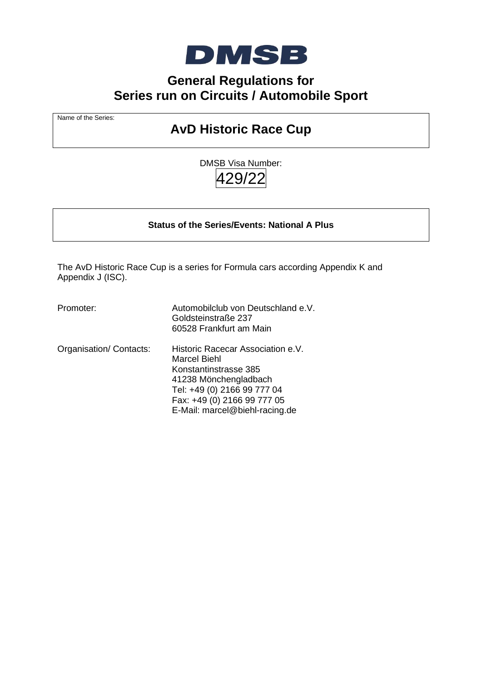

# **General Regulations for Series run on Circuits / Automobile Sport**

Name of the Series:

# **AvD Historic Race Cup**

DMSB Visa Number:  $.29/$ 

**Status of the Series/Events: National A Plus** 

The AvD Historic Race Cup is a series for Formula cars according Appendix K and Appendix J (ISC).

Promoter: Automobilclub von Deutschland e.V. Goldsteinstraße 237 60528 Frankfurt am Main Organisation/ Contacts: Historic Racecar Association e.V. Marcel Biehl Konstantinstrasse 385 41238 Mönchengladbach Tel: +49 (0) 2166 99 777 04 Fax: +49 (0) 2166 99 777 05 E-Mail: marcel@biehl-racing.de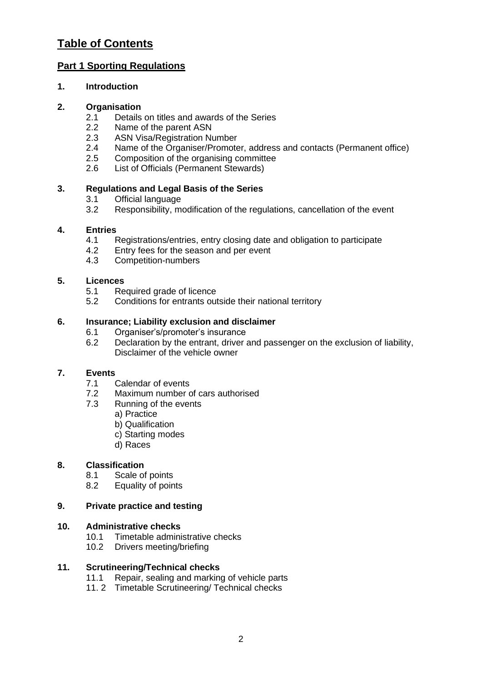# **Table of Contents**

# **Part 1 Sporting Regulations**

# **1. Introduction**

# **2. Organisation**

- 2.1 Details on titles and awards of the Series
- 2.2 Name of the parent ASN<br>2.3 ASN Visa/Registration Nu
- ASN Visa/Registration Number
- 2.4 Name of the Organiser/Promoter, address and contacts (Permanent office)
- 2.5 Composition of the organising committee
- 2.6 List of Officials (Permanent Stewards)

# **3. Regulations and Legal Basis of the Series**

- 3.1 Official language<br>3.2 Responsibility. me
- Responsibility, modification of the regulations, cancellation of the event

# **4. Entries**

- 4.1 Registrations/entries, entry closing date and obligation to participate
- 4.2 Entry fees for the season and per event
- 4.3 Competition-numbers

# **5. Licences**

- 5.1 Required grade of licence
- 5.2 Conditions for entrants outside their national territory

# **6. Insurance; Liability exclusion and disclaimer**

- 6.1 Organiser's/promoter's insurance
- 6.2 Declaration by the entrant, driver and passenger on the exclusion of liability, Disclaimer of the vehicle owner

# **7. Events**

- 7.1 Calendar of events
- 7.2 Maximum number of cars authorised
- 7.3 Running of the events
	- a) Practice
	- b) Qualification
	- c) Starting modes
	- d) Races

# **8. Classification**

- 8.1 Scale of points
- 8.2 Equality of points

# **9. Private practice and testing**

# **10. Administrative checks**

- 10.1 Timetable administrative checks
- 10.2 Drivers meeting/briefing

# **11. Scrutineering/Technical checks**

- 11.1 Repair, sealing and marking of vehicle parts
- 11. 2 Timetable Scrutineering/ Technical checks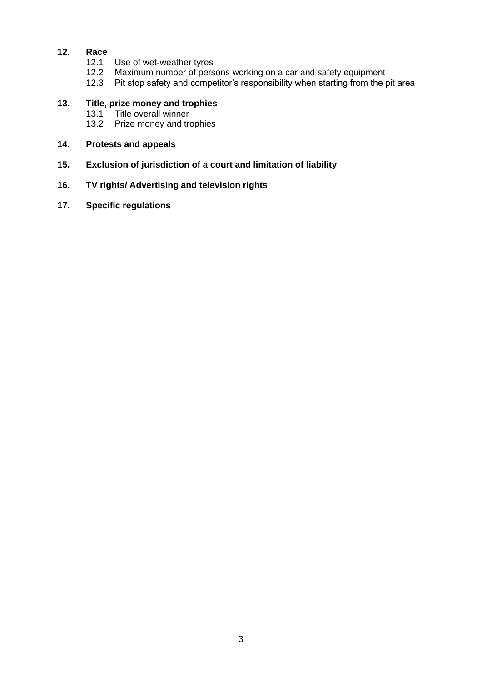# **12. Race**

- 12.1 Use of wet-weather tyres
- 12.2 Maximum number of persons working on a car and safety equipment
- 12.3 Pit stop safety and competitor's responsibility when starting from the pit area

# **13. Title, prize money and trophies**

- 13.1 Title overall winner<br>13.2 Prize money and tre
- Prize money and trophies

#### **14. Protests and appeals**

**15. Exclusion of jurisdiction of a court and limitation of liability** 

## **16. TV rights/ Advertising and television rights**

**17. Specific regulations**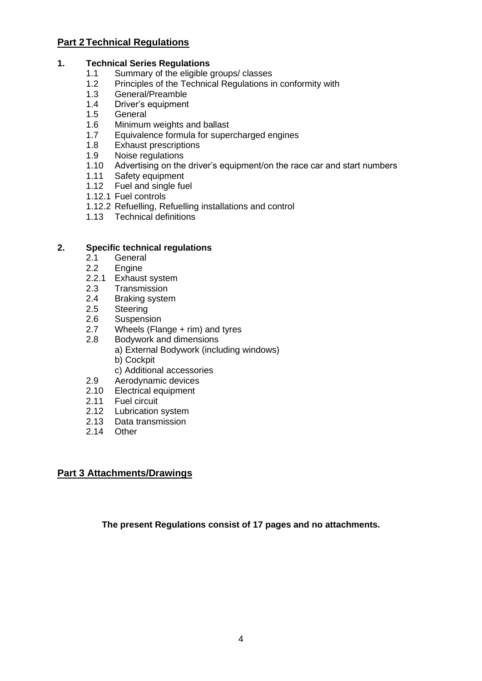# **Part 2 Technical Regulations**

# **1. Technical Series Regulations**

- 1.1 Summary of the eligible groups/ classes
- 1.2 Principles of the Technical Regulations in conformity with<br>1.3 General/Preamble
- 1.3 General/Preamble<br>1.4 Driver's equipment
- Driver's equipment
- 1.5 General
- 1.6 Minimum weights and ballast
- 1.7 Equivalence formula for supercharged engines
- 1.8 Exhaust prescriptions<br>1.9 Noise regulations
- 1.9 Noise regulations<br>1.10 Advertising on the
- Advertising on the driver's equipment/on the race car and start numbers
- 1.11 Safety equipment<br>1.12 Fuel and single fue
- Fuel and single fuel
- 1.12.1 Fuel controls
- 1.12.2 Refuelling, Refuelling installations and control
- 1.13 Technical definitions

# **2. Specific technical regulations**

- 2.1 General
- 2.2 Engine
- 2.2.1 Exhaust system
- 2.3 Transmission
- 2.4 Braking system
- 2.5 Steering
- 2.6 Suspension
- 2.7 Wheels (Flange + rim) and tyres
- 2.8 Bodywork and dimensions
	- a) External Bodywork (including windows) b) Cockpit
	- c) Additional accessories
- 2.9 Aerodynamic devices
- 2.10 Electrical equipment
- 2.11 Fuel circuit
- 2.12 Lubrication system
- 2.13 Data transmission
- 2.14 Other

# **Part 3 Attachments/Drawings**

**The present Regulations consist of 17 pages and no attachments.**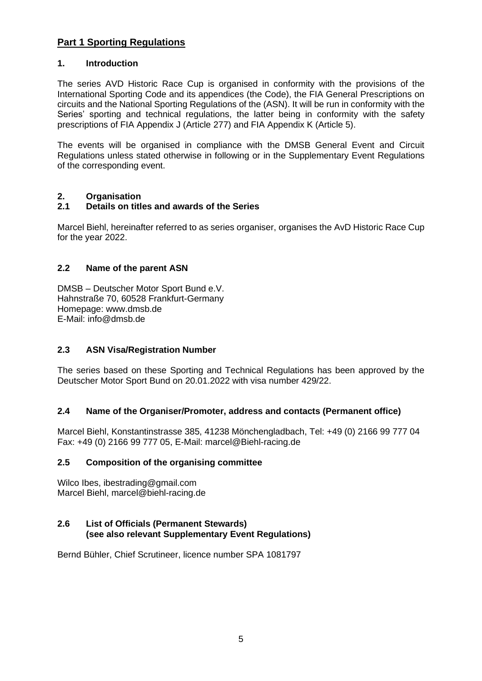# **Part 1 Sporting Regulations**

#### **1. Introduction**

The series AVD Historic Race Cup is organised in conformity with the provisions of the International Sporting Code and its appendices (the Code), the FIA General Prescriptions on circuits and the National Sporting Regulations of the (ASN). It will be run in conformity with the Series' sporting and technical regulations, the latter being in conformity with the safety prescriptions of FIA Appendix J (Article 277) and FIA Appendix K (Article 5).

The events will be organised in compliance with the DMSB General Event and Circuit Regulations unless stated otherwise in following or in the Supplementary Event Regulations of the corresponding event.

# **2. Organisation**

# **2.1 Details on titles and awards of the Series**

Marcel Biehl, hereinafter referred to as series organiser, organises the AvD Historic Race Cup for the year 2022.

# **2.2 Name of the parent ASN**

DMSB – Deutscher Motor Sport Bund e.V. Hahnstraße 70, 60528 Frankfurt-Germany Homepage: www.dmsb.de E-Mail: info@dmsb.de

# **2.3 ASN Visa/Registration Number**

The series based on these Sporting and Technical Regulations has been approved by the Deutscher Motor Sport Bund on 20.01.2022 with visa number 429/22.

#### **2.4 Name of the Organiser/Promoter, address and contacts (Permanent office)**

Marcel Biehl, Konstantinstrasse 385, 41238 Mönchengladbach, Tel: +49 (0) 2166 99 777 04 Fax: +49 (0) 2166 99 777 05, E-Mail: marcel@Biehl-racing.de

#### **2.5 Composition of the organising committee**

Wilco Ibes, ibestrading@gmail.com Marcel Biehl, marcel@biehl-racing.de

#### **2.6 List of Officials (Permanent Stewards) (see also relevant Supplementary Event Regulations)**

Bernd Bühler, Chief Scrutineer, licence number SPA 1081797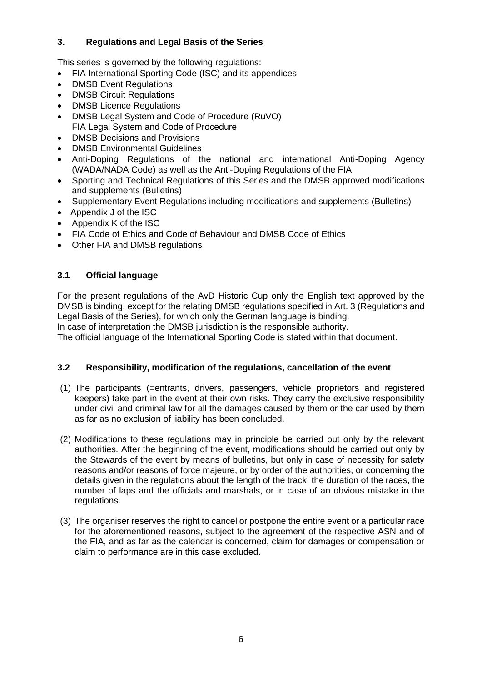# **3. Regulations and Legal Basis of the Series**

This series is governed by the following regulations:

- FIA International Sporting Code (ISC) and its appendices
- DMSB Event Regulations
- DMSB Circuit Regulations
- DMSB Licence Regulations
- DMSB Legal System and Code of Procedure (RuVO) FIA Legal System and Code of Procedure
- DMSB Decisions and Provisions
- DMSB Environmental Guidelines
- Anti-Doping Regulations of the national and international Anti-Doping Agency (WADA/NADA Code) as well as the Anti-Doping Regulations of the FIA
- Sporting and Technical Regulations of this Series and the DMSB approved modifications and supplements (Bulletins)
- Supplementary Event Regulations including modifications and supplements (Bulletins)
- Appendix J of the ISC
- Appendix K of the ISC
- FIA Code of Ethics and Code of Behaviour and DMSB Code of Ethics
- Other FIA and DMSB regulations

# **3.1 Official language**

For the present regulations of the AvD Historic Cup only the English text approved by the DMSB is binding, except for the relating DMSB regulations specified in Art. 3 (Regulations and Legal Basis of the Series), for which only the German language is binding.

In case of interpretation the DMSB jurisdiction is the responsible authority.

The official language of the International Sporting Code is stated within that document.

# **3.2 Responsibility, modification of the regulations, cancellation of the event**

- (1) The participants (=entrants, drivers, passengers, vehicle proprietors and registered keepers) take part in the event at their own risks. They carry the exclusive responsibility under civil and criminal law for all the damages caused by them or the car used by them as far as no exclusion of liability has been concluded.
- (2) Modifications to these regulations may in principle be carried out only by the relevant authorities. After the beginning of the event, modifications should be carried out only by the Stewards of the event by means of bulletins, but only in case of necessity for safety reasons and/or reasons of force majeure, or by order of the authorities, or concerning the details given in the regulations about the length of the track, the duration of the races, the number of laps and the officials and marshals, or in case of an obvious mistake in the regulations.
- (3) The organiser reserves the right to cancel or postpone the entire event or a particular race for the aforementioned reasons, subject to the agreement of the respective ASN and of the FIA, and as far as the calendar is concerned, claim for damages or compensation or claim to performance are in this case excluded.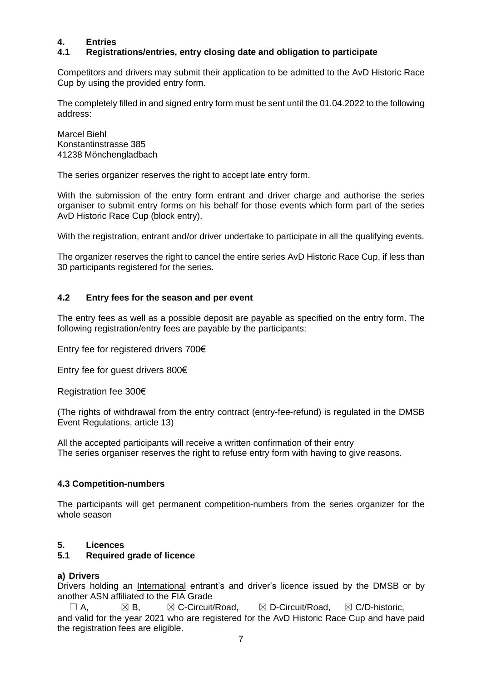# **4. Entries**

# **4.1 Registrations/entries, entry closing date and obligation to participate**

Competitors and drivers may submit their application to be admitted to the AvD Historic Race Cup by using the provided entry form.

The completely filled in and signed entry form must be sent until the 01.04.2022 to the following address:

Marcel Biehl Konstantinstrasse 385 41238 Mönchengladbach

The series organizer reserves the right to accept late entry form.

With the submission of the entry form entrant and driver charge and authorise the series organiser to submit entry forms on his behalf for those events which form part of the series AvD Historic Race Cup (block entry).

With the registration, entrant and/or driver undertake to participate in all the qualifying events.

The organizer reserves the right to cancel the entire series AvD Historic Race Cup, if less than 30 participants registered for the series.

# **4.2 Entry fees for the season and per event**

The entry fees as well as a possible deposit are payable as specified on the entry form. The following registration/entry fees are payable by the participants:

Entry fee for registered drivers 700€

Entry fee for guest drivers 800€

Registration fee 300€

(The rights of withdrawal from the entry contract (entry-fee-refund) is regulated in the DMSB Event Regulations, article 13)

All the accepted participants will receive a written confirmation of their entry The series organiser reserves the right to refuse entry form with having to give reasons.

#### **4.3 Competition-numbers**

The participants will get permanent competition-numbers from the series organizer for the whole season

#### **5. Licences**

#### **5.1 Required grade of licence**

#### **a) Drivers**

Drivers holding an *International* entrant's and driver's licence issued by the DMSB or by another ASN affiliated to the FIA Grade

 $\square$  A,  $\square$  B,  $\square$  C-Circuit/Road,  $\square$  D-Circuit/Road,  $\square$  C/D-historic, and valid for the year 2021 who are registered for the AvD Historic Race Cup and have paid the registration fees are eligible.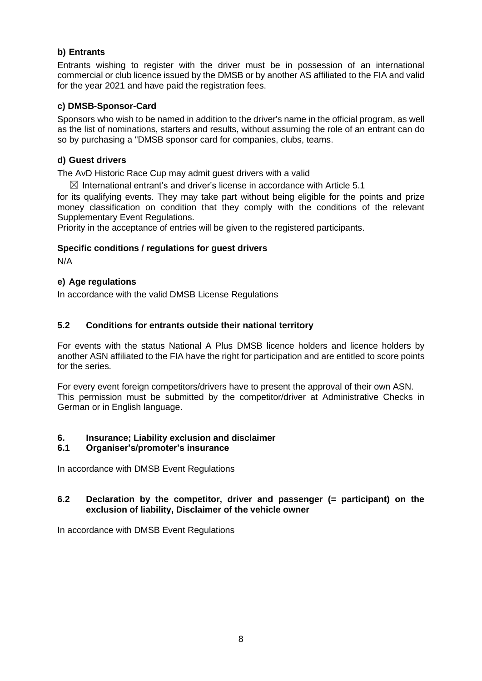# **b) Entrants**

Entrants wishing to register with the driver must be in possession of an international commercial or club licence issued by the DMSB or by another AS affiliated to the FIA and valid for the year 2021 and have paid the registration fees.

#### **c) DMSB-Sponsor-Card**

Sponsors who wish to be named in addition to the driver's name in the official program, as well as the list of nominations, starters and results, without assuming the role of an entrant can do so by purchasing a "DMSB sponsor card for companies, clubs, teams.

#### **d) Guest drivers**

The AvD Historic Race Cup may admit guest drivers with a valid

 $\boxtimes$  International entrant's and driver's license in accordance with Article 5.1

for its qualifying events. They may take part without being eligible for the points and prize money classification on condition that they comply with the conditions of the relevant Supplementary Event Regulations.

Priority in the acceptance of entries will be given to the registered participants.

# **Specific conditions / regulations for guest drivers**

N/A

# **e) Age regulations**

In accordance with the valid DMSB License Regulations

# **5.2 Conditions for entrants outside their national territory**

For events with the status National A Plus DMSB licence holders and licence holders by another ASN affiliated to the FIA have the right for participation and are entitled to score points for the series.

For every event foreign competitors/drivers have to present the approval of their own ASN. This permission must be submitted by the competitor/driver at Administrative Checks in German or in English language.

#### **6. Insurance; Liability exclusion and disclaimer**

#### **6.1 Organiser's/promoter's insurance**

In accordance with DMSB Event Regulations

#### **6.2 Declaration by the competitor, driver and passenger (= participant) on the exclusion of liability, Disclaimer of the vehicle owner**

In accordance with DMSB Event Regulations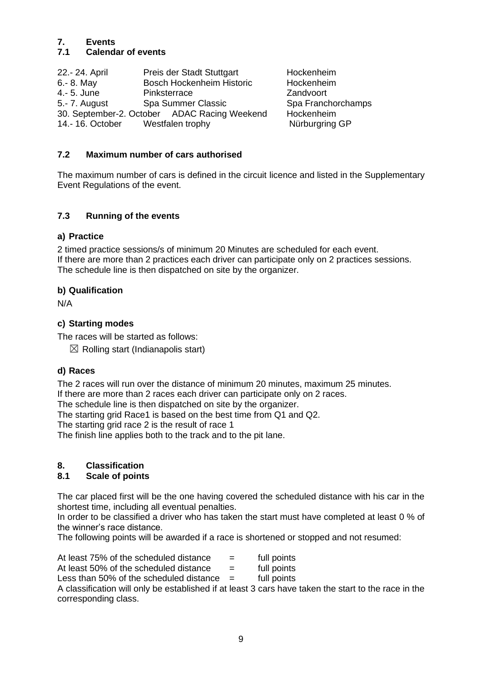# **7. Events**

# **7.1 Calendar of events**

22.- 24. April Preis der Stadt Stuttgart Hockenheim 6.- 8. May Bosch Hockenheim Historic Hockenheim 4.- 5. June Pinksterrace Zandvoort 5.- 7. August Spa Summer Classic 30. September-2. October ADAC Racing Weekend Hockenheim 14.- 16. October Westfalen trophy Nürburgring GP

# **7.2 Maximum number of cars authorised**

The maximum number of cars is defined in the circuit licence and listed in the Supplementary Event Regulations of the event.

# **7.3 Running of the events**

# **a) Practice**

2 timed practice sessions/s of minimum 20 Minutes are scheduled for each event. If there are more than 2 practices each driver can participate only on 2 practices sessions. The schedule line is then dispatched on site by the organizer.

# **b) Qualification**

N/A

# **c) Starting modes**

The races will be started as follows:

 $\boxtimes$  Rolling start (Indianapolis start)

# **d) Races**

The 2 races will run over the distance of minimum 20 minutes, maximum 25 minutes. If there are more than 2 races each driver can participate only on 2 races.

The schedule line is then dispatched on site by the organizer.

The starting grid Race1 is based on the best time from Q1 and Q2.

The starting grid race 2 is the result of race 1

The finish line applies both to the track and to the pit lane.

# **8. Classification**

#### **8.1 Scale of points**

The car placed first will be the one having covered the scheduled distance with his car in the shortest time, including all eventual penalties.

In order to be classified a driver who has taken the start must have completed at least 0 % of the winner's race distance.

The following points will be awarded if a race is shortened or stopped and not resumed:

| At least 75% of the scheduled distance |  | full points |
|----------------------------------------|--|-------------|
|----------------------------------------|--|-------------|

At least 50% of the scheduled distance  $=$  full points

Less than 50% of the scheduled distance  $=$  full points

A classification will only be established if at least 3 cars have taken the start to the race in the corresponding class.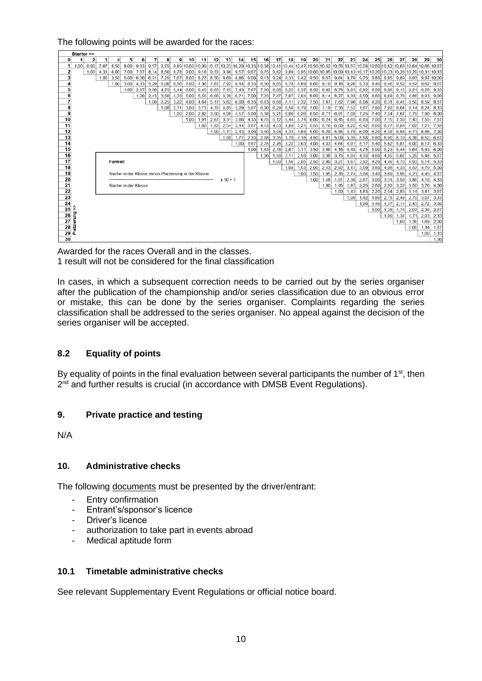#### The following points will be awarded for the races:



Awarded for the races Overall and in the classes. 1 result will not be considered for the final classification

In cases, in which a subsequent correction needs to be carried out by the series organiser after the publication of the championship and/or series classification due to an obvious error or mistake, this can be done by the series organiser. Complaints regarding the series classification shall be addressed to the series organiser. No appeal against the decision of the series organiser will be accepted.

#### **8.2 Equality of points**

By equality of points in the final evaluation between several participants the number of  $1<sup>st</sup>$ , then 2<sup>nd</sup> and further results is crucial (in accordance with DMSB Event Regulations).

#### **9. Private practice and testing**

N/A

#### **10. Administrative checks**

The following documents must be presented by the driver/entrant:

- Entry confirmation
- Entrant's/sponsor's licence
- Driver's licence
- authorization to take part in events abroad
- Medical aptitude form

#### **10.1 Timetable administrative checks**

See relevant Supplementary Event Regulations or official notice board.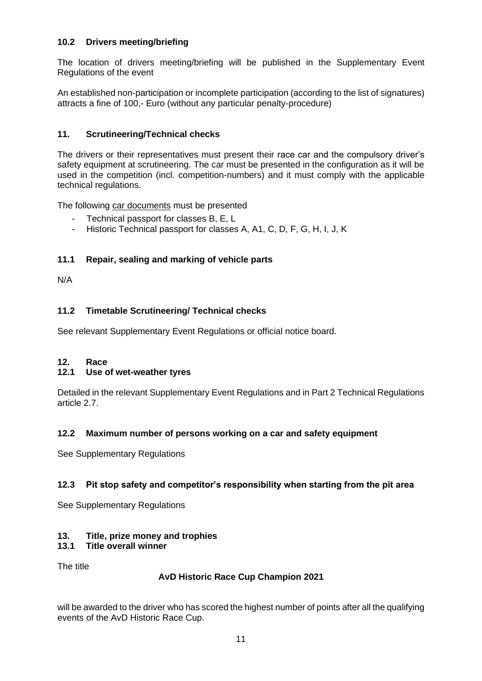# **10.2 Drivers meeting/briefing**

The location of drivers meeting/briefing will be published in the Supplementary Event Regulations of the event

An established non-participation or incomplete participation (according to the list of signatures) attracts a fine of 100,- Euro (without any particular penalty-procedure)

# **11. Scrutineering/Technical checks**

The drivers or their representatives must present their race car and the compulsory driver's safety equipment at scrutineering. The car must be presented in the configuration as it will be used in the competition (incl. competition-numbers) and it must comply with the applicable technical regulations.

The following car documents must be presented

- Technical passport for classes B, E, L
- Historic Technical passport for classes A, A1, C, D, F, G, H, I, J, K

# **11.1 Repair, sealing and marking of vehicle parts**

N/A

# **11.2 Timetable Scrutineering/ Technical checks**

See relevant Supplementary Event Regulations or official notice board.

#### **12. Race**

# **12.1 Use of wet-weather tyres**

Detailed in the relevant Supplementary Event Regulations and in Part 2 Technical Regulations article 2.7.

# **12.2 Maximum number of persons working on a car and safety equipment**

See Supplementary Regulations

# **12.3 Pit stop safety and competitor's responsibility when starting from the pit area**

See Supplementary Regulations

# **13. Title, prize money and trophies**

# **13.1 Title overall winner**

The title

# **AvD Historic Race Cup Champion 2021**

will be awarded to the driver who has scored the highest number of points after all the qualifying events of the AvD Historic Race Cup.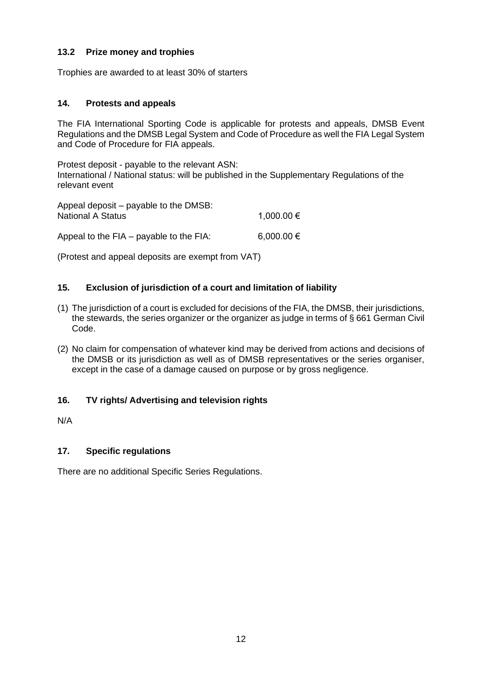# **13.2 Prize money and trophies**

Trophies are awarded to at least 30% of starters

#### **14. Protests and appeals**

The FIA International Sporting Code is applicable for protests and appeals, DMSB Event Regulations and the DMSB Legal System and Code of Procedure as well the FIA Legal System and Code of Procedure for FIA appeals.

Protest deposit - payable to the relevant ASN: International / National status: will be published in the Supplementary Regulations of the relevant event

| Appeal deposit – payable to the DMSB:<br><b>National A Status</b> | 1,000.00 € |
|-------------------------------------------------------------------|------------|
| Appeal to the FIA – payable to the FIA:                           | 6,000.00 € |

(Protest and appeal deposits are exempt from VAT)

#### **15. Exclusion of jurisdiction of a court and limitation of liability**

- (1) The jurisdiction of a court is excluded for decisions of the FIA, the DMSB, their jurisdictions, the stewards, the series organizer or the organizer as judge in terms of § 661 German Civil Code.
- (2) No claim for compensation of whatever kind may be derived from actions and decisions of the DMSB or its jurisdiction as well as of DMSB representatives or the series organiser, except in the case of a damage caused on purpose or by gross negligence.

#### **16. TV rights/ Advertising and television rights**

N/A

#### **17. Specific regulations**

There are no additional Specific Series Regulations.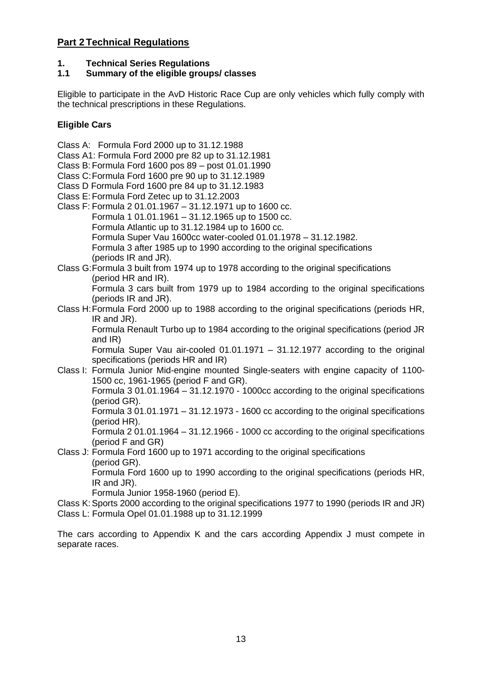# **Part 2 Technical Regulations**

# **1. Technical Series Regulations**

# **1.1 Summary of the eligible groups/ classes**

Eligible to participate in the AvD Historic Race Cup are only vehicles which fully comply with the technical prescriptions in these Regulations.

# **Eligible Cars**

Class A: Formula Ford 2000 up to 31.12.1988

Class A1: Formula Ford 2000 pre 82 up to 31.12.1981

Class B:Formula Ford 1600 pos 89 – post 01.01.1990

- Class C:Formula Ford 1600 pre 90 up to 31.12.1989
- Class D Formula Ford 1600 pre 84 up to 31.12.1983
- Class E:Formula Ford Zetec up to 31.12.2003
- Class F: Formula 2 01.01.1967 31.12.1971 up to 1600 cc. Formula 1 01.01.1961 – 31.12.1965 up to 1500 cc. Formula Atlantic up to 31.12.1984 up to 1600 cc. Formula Super Vau 1600cc water-cooled 01.01.1978 – 31.12.1982. Formula 3 after 1985 up to 1990 according to the original specifications (periods IR and JR).
- Class G:Formula 3 built from 1974 up to 1978 according to the original specifications (period HR and IR).

Formula 3 cars built from 1979 up to 1984 according to the original specifications (periods IR and JR).

Class H:Formula Ford 2000 up to 1988 according to the original specifications (periods HR, IR and JR).

Formula Renault Turbo up to 1984 according to the original specifications (period JR and IR)

Formula Super Vau air-cooled 01.01.1971 – 31.12.1977 according to the original specifications (periods HR and IR)

Class I: Formula Junior Mid-engine mounted Single-seaters with engine capacity of 1100- 1500 cc, 1961-1965 (period F and GR).

Formula 3 01.01.1964 – 31.12.1970 - 1000cc according to the original specifications (period GR).

Formula 3 01.01.1971 – 31.12.1973 - 1600 cc according to the original specifications (period HR).

Formula 2 01.01.1964 – 31.12.1966 - 1000 cc according to the original specifications (period F and GR)

Class J: Formula Ford 1600 up to 1971 according to the original specifications (period GR).

Formula Ford 1600 up to 1990 according to the original specifications (periods HR, IR and JR).

Formula Junior 1958-1960 (period E).

Class K:Sports 2000 according to the original specifications 1977 to 1990 (periods IR and JR) Class L: Formula Opel 01.01.1988 up to 31.12.1999

The cars according to Appendix K and the cars according Appendix J must compete in separate races.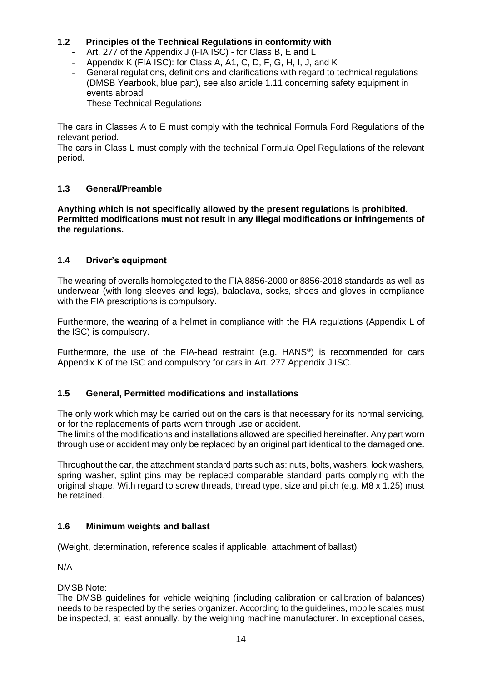# **1.2 Principles of the Technical Regulations in conformity with**

- Art. 277 of the Appendix J (FIA ISC) for Class B, E and L
- Appendix K (FIA ISC): for Class A, A1, C, D, F, G, H, I, J, and K
- General regulations, definitions and clarifications with regard to technical regulations (DMSB Yearbook, blue part), see also article 1.11 concerning safety equipment in events abroad
- These Technical Regulations

The cars in Classes A to E must comply with the technical Formula Ford Regulations of the relevant period.

The cars in Class L must comply with the technical Formula Opel Regulations of the relevant period.

# **1.3 General/Preamble**

**Anything which is not specifically allowed by the present regulations is prohibited. Permitted modifications must not result in any illegal modifications or infringements of the regulations.**

# **1.4 Driver's equipment**

The wearing of overalls homologated to the FIA 8856-2000 or 8856-2018 standards as well as underwear (with long sleeves and legs), balaclava, socks, shoes and gloves in compliance with the FIA prescriptions is compulsory.

Furthermore, the wearing of a helmet in compliance with the FIA regulations (Appendix L of the ISC) is compulsory.

Furthermore, the use of the FIA-head restraint (e.g.  $HANS<sup>®</sup>$ ) is recommended for cars Appendix K of the ISC and compulsory for cars in Art. 277 Appendix J ISC.

#### **1.5 General, Permitted modifications and installations**

The only work which may be carried out on the cars is that necessary for its normal servicing, or for the replacements of parts worn through use or accident.

The limits of the modifications and installations allowed are specified hereinafter. Any part worn through use or accident may only be replaced by an original part identical to the damaged one.

Throughout the car, the attachment standard parts such as: nuts, bolts, washers, lock washers, spring washer, splint pins may be replaced comparable standard parts complying with the original shape. With regard to screw threads, thread type, size and pitch (e.g. M8 x 1.25) must be retained.

#### **1.6 Minimum weights and ballast**

(Weight, determination, reference scales if applicable, attachment of ballast)

N/A

#### DMSB Note:

The DMSB guidelines for vehicle weighing (including calibration or calibration of balances) needs to be respected by the series organizer. According to the guidelines, mobile scales must be inspected, at least annually, by the weighing machine manufacturer. In exceptional cases,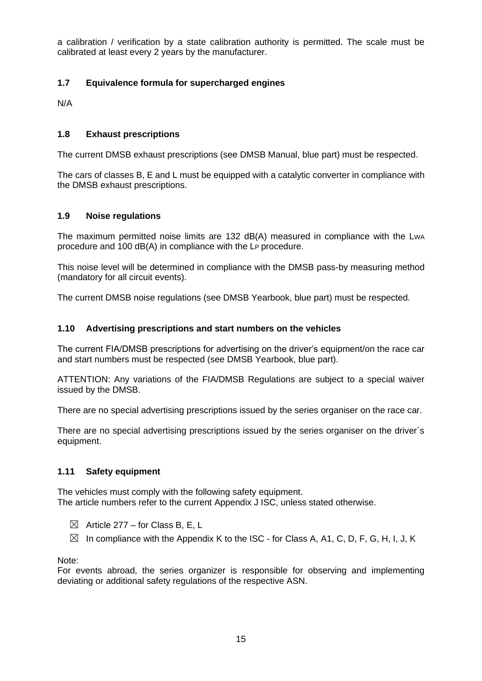a calibration / verification by a state calibration authority is permitted. The scale must be calibrated at least every 2 years by the manufacturer.

# **1.7 Equivalence formula for supercharged engines**

N/A

# **1.8 Exhaust prescriptions**

The current DMSB exhaust prescriptions (see DMSB Manual, blue part) must be respected.

The cars of classes B, E and L must be equipped with a catalytic converter in compliance with the DMSB exhaust prescriptions.

#### **1.9 Noise regulations**

The maximum permitted noise limits are 132 dB(A) measured in compliance with the LWA procedure and 100 dB(A) in compliance with the LP procedure.

This noise level will be determined in compliance with the DMSB pass-by measuring method (mandatory for all circuit events).

The current DMSB noise regulations (see DMSB Yearbook, blue part) must be respected.

#### **1.10 Advertising prescriptions and start numbers on the vehicles**

The current FIA/DMSB prescriptions for advertising on the driver's equipment/on the race car and start numbers must be respected (see DMSB Yearbook, blue part).

ATTENTION: Any variations of the FIA/DMSB Regulations are subject to a special waiver issued by the DMSB.

There are no special advertising prescriptions issued by the series organiser on the race car.

There are no special advertising prescriptions issued by the series organiser on the driver's equipment.

#### **1.11 Safety equipment**

The vehicles must comply with the following safety equipment. The article numbers refer to the current Appendix J ISC, unless stated otherwise.

- $\boxtimes$  Article 277 for Class B, E, L
- $\boxtimes$  In compliance with the Appendix K to the ISC for Class A, A1, C, D, F, G, H, I, J, K

Note:

For events abroad, the series organizer is responsible for observing and implementing deviating or additional safety regulations of the respective ASN.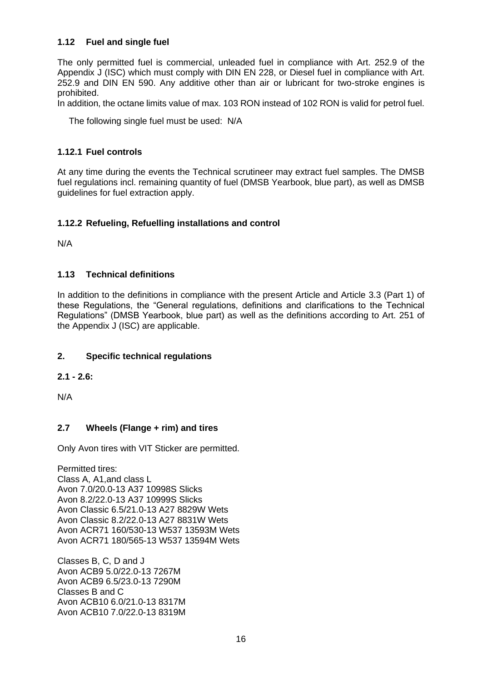# **1.12 Fuel and single fuel**

The only permitted fuel is commercial, unleaded fuel in compliance with Art. 252.9 of the Appendix J (ISC) which must comply with DIN EN 228, or Diesel fuel in compliance with Art. 252.9 and DIN EN 590. Any additive other than air or lubricant for two-stroke engines is prohibited.

In addition, the octane limits value of max. 103 RON instead of 102 RON is valid for petrol fuel.

The following single fuel must be used: N/A

#### **1.12.1 Fuel controls**

At any time during the events the Technical scrutineer may extract fuel samples. The DMSB fuel regulations incl. remaining quantity of fuel (DMSB Yearbook, blue part), as well as DMSB guidelines for fuel extraction apply.

# **1.12.2 Refueling, Refuelling installations and control**

N/A

#### **1.13 Technical definitions**

In addition to the definitions in compliance with the present Article and Article 3.3 (Part 1) of these Regulations, the "General regulations, definitions and clarifications to the Technical Regulations" (DMSB Yearbook, blue part) as well as the definitions according to Art. 251 of the Appendix J (ISC) are applicable.

#### **2. Specific technical regulations**

#### **2.1 - 2.6:**

N/A

#### **2.7 Wheels (Flange + rim) and tires**

Only Avon tires with VIT Sticker are permitted.

Permitted tires: Class A, A1,and class L Avon 7.0/20.0-13 A37 10998S Slicks Avon 8.2/22.0-13 A37 10999S Slicks Avon Classic 6.5/21.0-13 A27 8829W Wets Avon Classic 8.2/22.0-13 A27 8831W Wets Avon ACR71 160/530-13 W537 13593M Wets Avon ACR71 180/565-13 W537 13594M Wets

Classes B, C, D and J Avon ACB9 5.0/22.0-13 7267M Avon ACB9 6.5/23.0-13 7290M Classes B and C Avon ACB10 6.0/21.0-13 8317M Avon ACB10 7.0/22.0-13 8319M